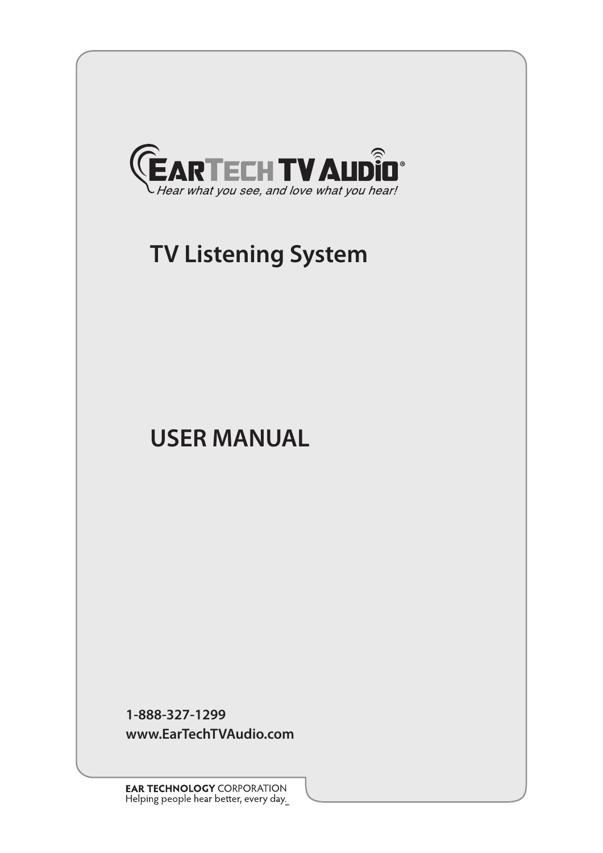

# **TV Listening System**

# **USER MANUAL**

**1-888-327-1299 www.EarTechTVAudio.com**

**EAR TECHNOLOGY** CORPORATION<br>Helping people hear better, every day.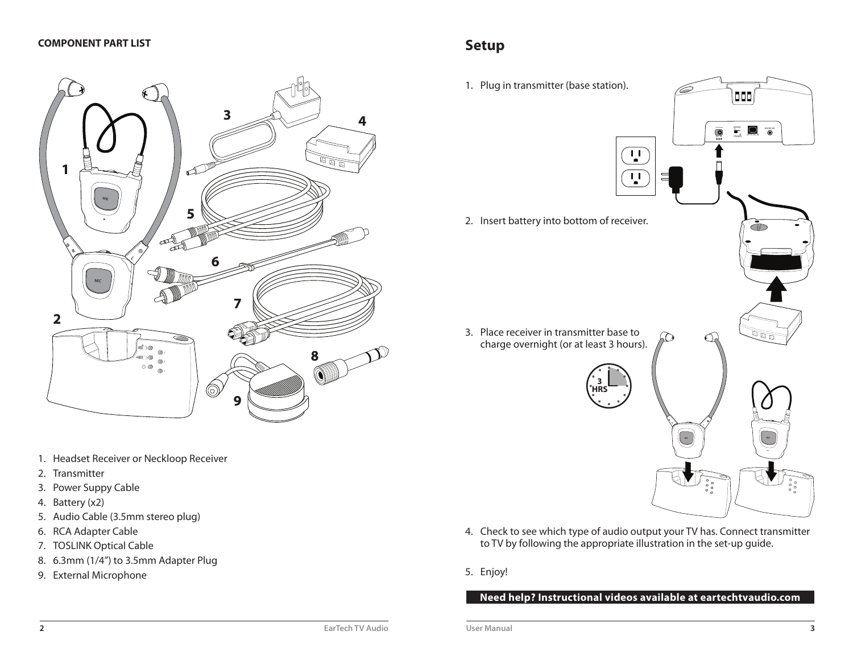

- 1. Headset Receiver or Neckloop Receiver
- 2. Transmitter
- 3. Power Suppy Cable
- 4. Battery (x2)
- 5. Audio Cable (3.5mm stereo plug)
- 6. RCA Adapter Cable
- 7. TOSLINK Optical Cable
- 8. 6.3mm (1/4") to 3.5mm Adapter Plug
- 9. External Microphone

# **Setup**

- 1. Plug in transmitter (base station). 000  $\sum_{\text{STEBC}}$  and  $\sum_{\text{STEAC}}$  and  $\sum_{\text{STEAC}}$  $\bullet$  $\overline{\mathbf{u}}$ 보 2. Insert battery into bottom of receiver. 3. Place receiver in transmitter base to  $\overline{\mathbb{Q}}$  o ĹО € charge overnight (or at least 3 hours). **3HRS**
	- 4. Check to see which type of audio output your TV has. Connect transmitter to TV by following the appropriate illustration in the set-up guide.
	- 5. Enjoy!

**Need help? Instructional videos available at eartechtvaudio.com**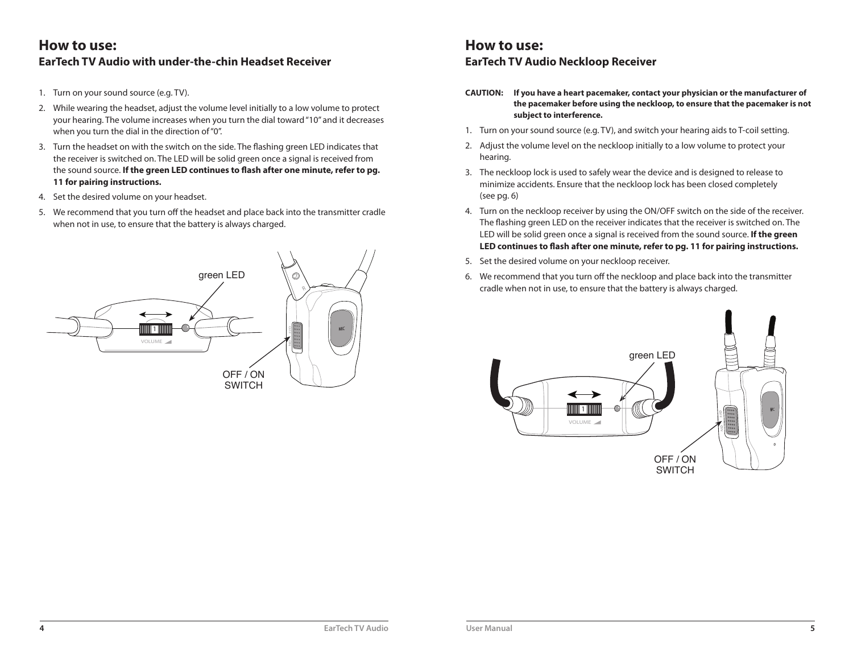### **How to use:EarTech TV Audio with under-the-chin Headset Receiver**

- 1. Turn on your sound source (e.g. TV).
- 2. While wearing the headset, adjust the volume level initially to a low volume to protect your hearing. The volume increases when you turn the dial toward "10" and it decreases when you turn the dial in the direction of "0".
- 3. Turn the headset on with the switch on the side. The flashing green LED indicates that the receiver is switched on. The LED will be solid green once a signal is received from the sound source. **If the green LED continues to flash after one minute, refer to pg. 11 for pairing instructions.**
- 4. Set the desired volume on your headset.
- 5. We recommend that you turn off the headset and place back into the transmitter cradle when not in use, to ensure that the battery is always charged.



### **How to use:EarTech TV Audio Neckloop Receiver**

- **CAUTION: If you have a heart pacemaker, contact your physician or the manufacturer of the pacemaker before using the neckloop, to ensure that the pacemaker is not subject to interference.**
- 1. Turn on your sound source (e.g. TV), and switch your hearing aids to T-coil setting.
- 2. Adjust the volume level on the neckloop initially to a low volume to protect your hearing.
- 3. The neckloop lock is used to safely wear the device and is designed to release to minimize accidents. Ensure that the neckloop lock has been closed completely (see pg. 6)
- 4. Turn on the neckloop receiver by using the ON/OFF switch on the side of the receiver. The flashing green LED on the receiver indicates that the receiver is switched on. The LED will be solid green once a signal is received from the sound source. **If the green LED continues to flash after one minute, refer to pg. 11 for pairing instructions.**
- 5. Set the desired volume on your neckloop receiver.
- 6. We recommend that you turn off the neckloop and place back into the transmitter cradle when not in use, to ensure that the battery is always charged.

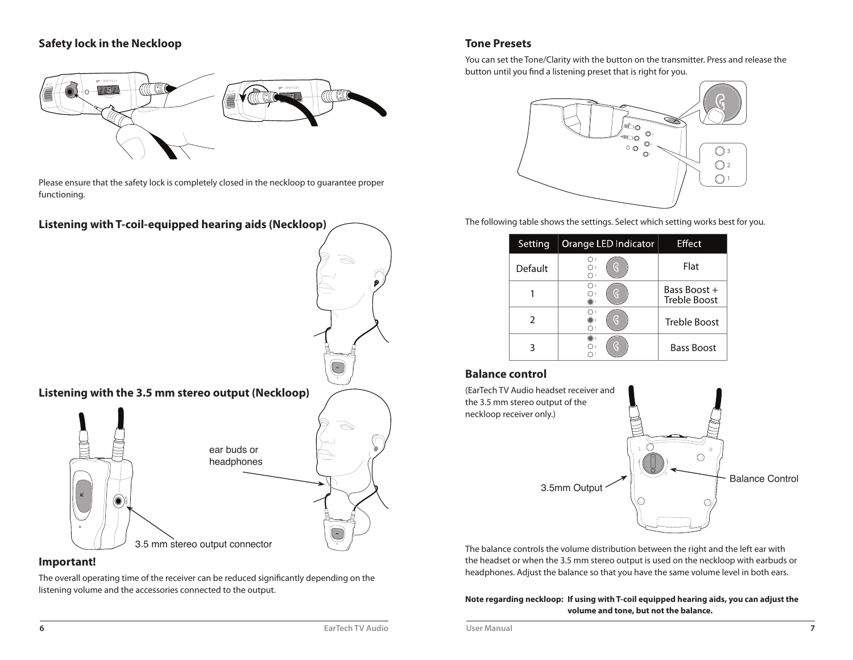#### **Safety lock in the Neckloop**



Please ensure that the safety lock is completely closed in the neckloop to guarantee proper functioning.



#### **Important!**

The overall operating time of the receiver can be reduced significantly depending on the listening volume and the accessories connected to the output.

#### **Tone Presets**

You can set the Tone/Clarity with the button on the transmitter. Press and release the button until you find a listening preset that is right for you.



The following table shows the settings. Select which setting works best for you.

| Setting       | Orange LED Indicator | Effect                              |
|---------------|----------------------|-------------------------------------|
| Default       | O<br>Οz              | Flat                                |
|               | O                    | Bass Boost +<br><b>Treble Boost</b> |
| $\mathcal{P}$ |                      | <b>Treble Boost</b>                 |
|               |                      | <b>Bass Boost</b>                   |

#### **Balance control**



The balance controls the volume distribution between the right and the left ear with the headset or when the 3.5 mm stereo output is used on the neckloop with earbuds or headphones. Adjust the balance so that you have the same volume level in both ears.

#### **Note regarding neckloop: If using with T-coil equipped hearing aids, you can adjust the volume and tone, but not the balance.**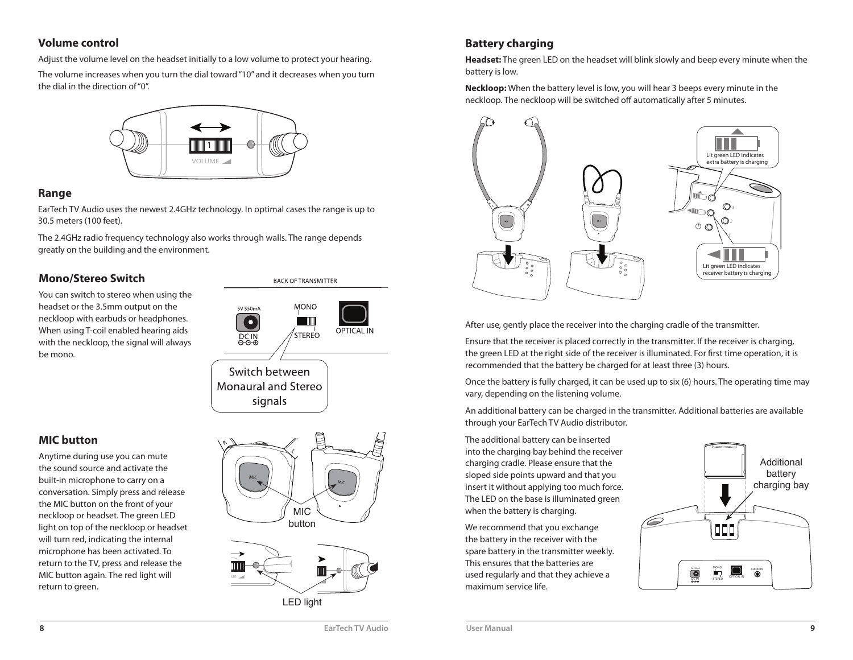#### **Volume control**

Adjust the volume level on the headset initially to a low volume to protect your hearing.

The volume increases when you turn the dial toward "10" and it decreases when you turn the dial in the direction of "0".



#### **Range**

EarTech TV Audio uses the newest 2.4GHz technology. In optimal cases the range is up to 30.5 meters (100 feet).

The 2.4GHz radio frequency technology also works through walls. The range depends greatly on the building and the environment.

#### **Mono/Stereo Switch**

 You can switch to stereo when using the headset or the 3.5mm output on the neckloop with earbuds or headphones. When using T-coil enabled hearing aids with the neckloop, the signal will always be mono.



**BACK OF TRANSMITTER** 

#### **MIC button**

 Anytime during use you can mute the sound source and activate the built-in microphone to carry on a conversation. Simply press and release the MIC button on the front of your neckloop or headset. The green LED light on top of the neckloop or headset will turn red, indicating the internal microphone has been activated. To return to the TV, press and release the MIC button again. The red light will return to green.





### **Battery charging**

 **Headset:** The green LED on the headset will blink slowly and beep every minute when the battery is low.

**Neckloop:** When the battery level is low, you will hear 3 beeps every minute in the neckloop. The neckloop will be switched off automatically after 5 minutes.



After use, gently place the receiver into the charging cradle of the transmitter.

Ensure that the receiver is placed correctly in the transmitter. If the receiver is charging, the green LED at the right side of the receiver is illuminated. For first time operation, it is recommended that the battery be charged for at least three (3) hours.

Once the battery is fully charged, it can be used up to six (6) hours. The operating time may vary, depending on the listening volume.

An additional battery can be charged in the transmitter. Additional batteries are available through your EarTech TV Audio distributor.

The additional battery can be inserted into the charging bay behind the receiver charging cradle. Please ensure that the sloped side points upward and that you insert it without applying too much force. The LED on the base is illuminated green when the battery is charging.

We recommend that you exchange the battery in the receiver with the spare battery in the transmitter weekly. This ensures that the batteries are used regularly and that they achieve a maximum service life.

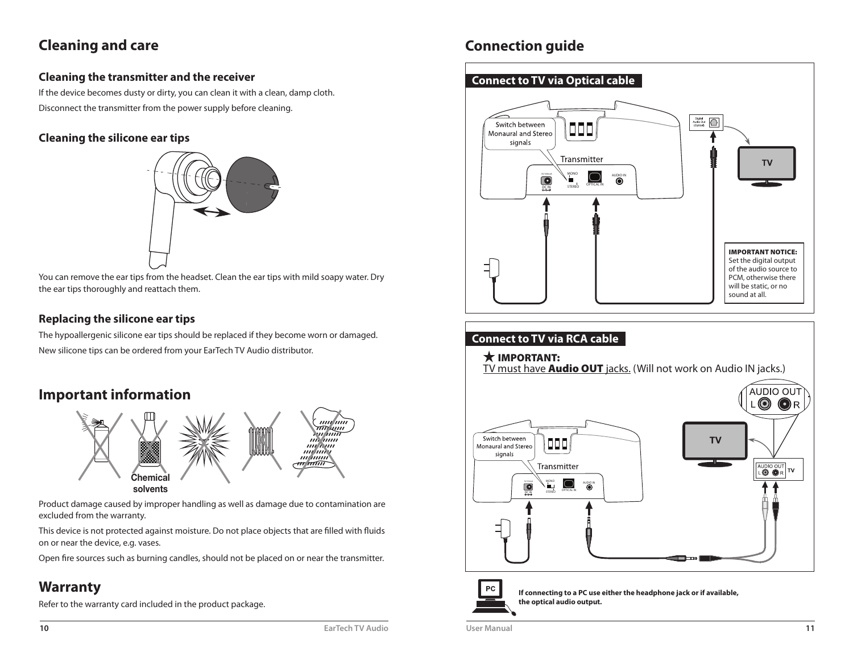# **Cleaning and care**

### **Cleaning the transmitter and the receiver**

If the device becomes dusty or dirty, you can clean it with a clean, damp cloth. Disconnect the transmitter from the power supply before cleaning.

### **Cleaning the silicone ear tips**



You can remove the ear tips from the headset. Clean the ear tips with mild soapy water. Dry the ear tips thoroughly and reattach them.

### **Replacing the silicone ear tips**

 The hypoallergenic silicone ear tips should be replaced if they become worn or damaged. New silicone tips can be ordered from your EarTech TV Audio distributor.

## **Important information**



Product damage caused by improper handling as well as damage due to contamination are excluded from the warranty.

This device is not protected against moisture. Do not place objects that are filled with fluids on or near the device, e.g. vases.

Open fire sources such as burning candles, should not be placed on or near the transmitter.

# **Warranty**

Refer to the warranty card included in the product package.

# **Connection guide**





**If connecting to a PC use either the headphone jack or if available,the optical audio output.**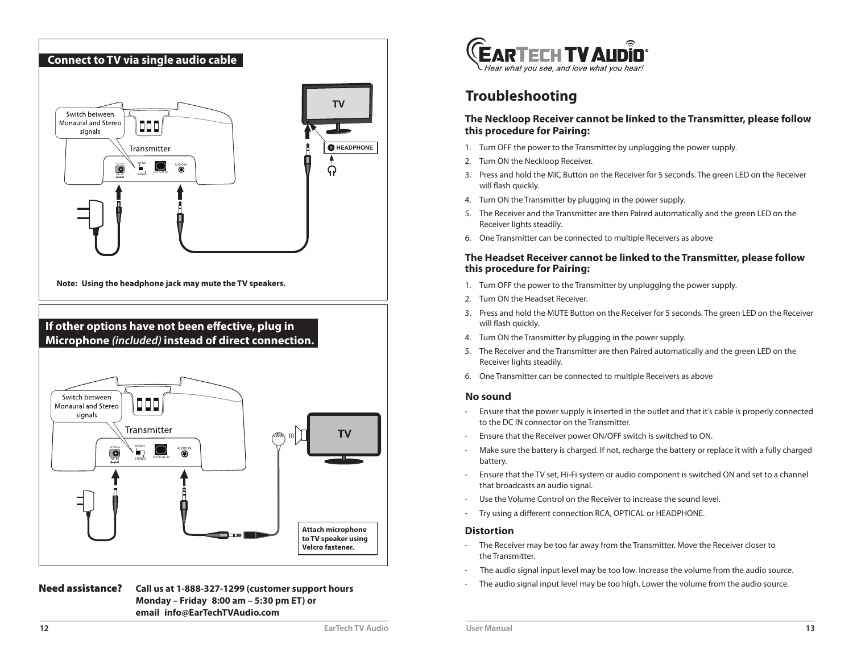

#### Need assistance? **Call us at 1-888-327-1299 (customer support hours Monday – Friday 8:00 am – 5:30 pm ET) or email info@EarTechTVAudio.com**



## **Troubleshooting**

#### **The Neckloop Receiver cannot be linked to the Transmitter, please follow this procedure for Pairing:**

- 1. Turn OFF the power to the Transmitter by unplugging the power supply.
- 2. Turn ON the Neckloop Receiver.
- 3. Press and hold the MIC Button on the Receiver for 5 seconds. The green LED on the Receiver will flash quickly.
- 4. Turn ON the Transmitter by plugging in the power supply.
- 5. The Receiver and the Transmitter are then Paired automatically and the green LED on the Receiver lights steadily.
- 6. One Transmitter can be connected to multiple Receivers as above

#### **The Headset Receiver cannot be linked to the Transmitter, please follow this procedure for Pairing:**

- 1. Turn OFF the power to the Transmitter by unplugging the power supply.
- 2. Turn ON the Headset Receiver.
- 3. Press and hold the MUTE Button on the Receiver for 5 seconds. The green LED on the Receiver will flash quickly.
- 4. Turn ON the Transmitter by plugging in the power supply.
- 5. The Receiver and the Transmitter are then Paired automatically and the green LED on the Receiver lights steadily.
- 6. One Transmitter can be connected to multiple Receivers as above

#### **No sound**

- Ensure that the power supply is inserted in the outlet and that it's cable is properly connected to the DC IN connector on the Transmitter.
- Ensure that the Receiver power ON/OFF switch is switched to ON.
- Make sure the battery is charged. If not, recharge the battery or replace it with a fully charged battery.
- Ensure that the TV set, Hi-Fi system or audio component is switched ON and set to a channel that broadcasts an audio signal.
- Use the Volume Control on the Receiver to increase the sound level.
- Try using a different connection RCA, OPTICAL or HEADPHONE.

#### **Distortion**

- The Receiver may be too far away from the Transmitter. Move the Receiver closer to the Transmitter.
- The audio signal input level may be too low. Increase the volume from the audio source.
- The audio signal input level may be too high. Lower the volume from the audio source.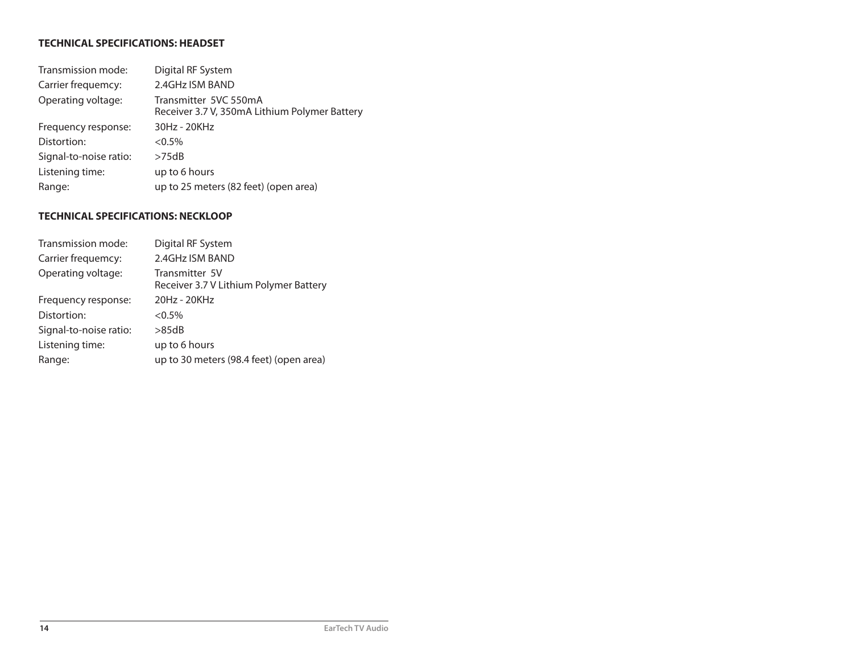#### **TECHNICAL SPECIFICATIONS: HEADSET**

| Transmission mode:     | Digital RF System                                                      |
|------------------------|------------------------------------------------------------------------|
| Carrier frequemcy:     | 2.4GHz ISM BAND                                                        |
| Operating voltage:     | Transmitter 5VC 550mA<br>Receiver 3.7 V, 350mA Lithium Polymer Battery |
| Frequency response:    | 30Hz - 20KHz                                                           |
| Distortion:            | $< 0.5\%$                                                              |
| Signal-to-noise ratio: | >75dB                                                                  |
| Listening time:        | up to 6 hours                                                          |
| Range:                 | up to 25 meters (82 feet) (open area)                                  |

#### **TECHNICAL SPECIFICATIONS: NECKLOOP**

| Transmission mode:     | Digital RF System                                        |
|------------------------|----------------------------------------------------------|
| Carrier frequemcy:     | 2.4GHz ISM BAND                                          |
| Operating voltage:     | Transmitter 5V<br>Receiver 3.7 V Lithium Polymer Battery |
| Frequency response:    | 20Hz - 20KHz                                             |
| Distortion:            | $<0.5\%$                                                 |
| Signal-to-noise ratio: | >85dB                                                    |
| Listening time:        | up to 6 hours                                            |
| Range:                 | up to 30 meters (98.4 feet) (open area)                  |